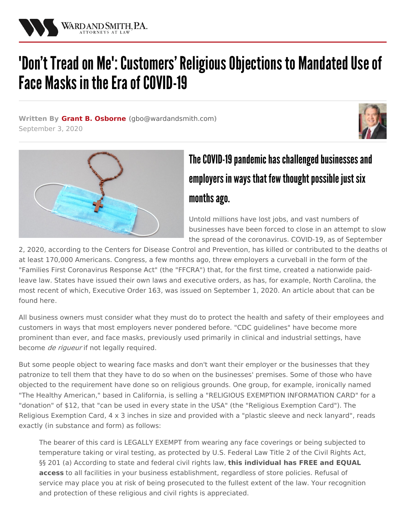

## 'Don't Tread on Me': Customers' Religious Objections to Mandated Use of Face Masks in the Era of COVID-19

**Written By Grant B. [Osborne](/attorneys/grant-osborne) (**[gbo@wardandsmith.com](mailto:gbo@wardandsmith.com)**)** September 3, 2020





## The COVID-19 pandemic has challenged businesses and employers in ways that few thought possible just six months ago.

Untold millions have lost jobs, and vast numbers of businesses have been forced to close in an attempt to slow the spread of the coronavirus. COVID-19, as of September

2, 2020, according to the Centers for Disease Control and Prevention, has killed or contributed to the deaths of at least 170,000 Americans. Congress, a few months ago, threw employers a curveball in the form of the "Families First Coronavirus Response Act" (the "FFCRA") that, for the first time, created a nationwide paidleave law. States have issued their own laws and executive orders, as has, for example, North Carolina, the most recent of which, [Executive](https://governor.nc.gov/documents/executive-order-no-163) Order 163, was issued on September 1, 2020. An article about that can be found [here](/articles/covid-19-update-re-opening-your-business-house-bill-118-and-executive-order-163).

All business owners must consider what they must do to protect the health and safety of their employees and customers in ways that most employers never pondered before. "CDC guidelines" have become more prominent than ever, and face masks, previously used primarily in clinical and industrial settings, have become de rigueur if not legally required.

But some people object to wearing face masks and don't want their employer or the businesses that they patronize to tell them that they have to do so when on the businesses' premises. Some of those who have objected to the requirement have done so on religious grounds. One group, for example, ironically named "The Healthy American," based in California, is selling a "RELIGIOUS EXEMPTION INFORMATION CARD" for a "donation" of \$12, that "can be used in every state in the USA" (the "Religious Exemption Card"). The Religious [Exemption](https://www.thehealthyamerican.org/religious-exemption-card) Card, 4 x 3 inches in size and provided with a "plastic sleeve and neck lanyard", reads exactly (in substance and form) as follows:

The bearer of this card is LEGALLY EXEMPT from wearing any face coverings or being subjected to temperature taking or viral testing, as protected by U.S. Federal Law Title 2 of the Civil Rights Act, §§ 201 (a) According to state and federal civil rights law, **this individual has FREE and EQUAL access** to all facilities in your business establishment, regardless of store policies. Refusal of service may place you at risk of being prosecuted to the fullest extent of the law. Your recognition and protection of these religious and civil rights is appreciated.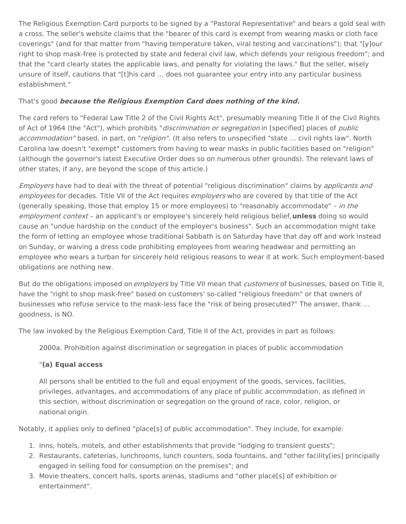The Religious Exemption Card purports to be signed by a "Pastoral Representative" and bears a gold seal with a cross. The seller's website claims that the "bearer of this card is exempt from wearing masks or cloth face coverings" (and for that matter from "having temperature taken, viral testing and vaccinations"); that "[y]our right to shop mask-free is protected by state and [federal](https://www.justice.gov/crt/title-ii-civil-rights-act-public-accommodations) civil law, which defends your religious freedom"; and that the "card clearly states the applicable laws, and penalty for violating the laws." But the seller, wisely unsure of itself, cautions that "[t]his card … does not guarantee your entry into any particular business establishment."

## That's good **because the Religious Exemption Card does nothing of the kind.**

The card refers to "Federal Law Title 2 of the Civil Rights Act", presumably meaning Title II of the Civil Rights of Act of 1964 (the "Act"), which prohibits "*discrimination or segregation* in [specified] places of *public* accommodation" based, in part, on "religion". (It also refers to unspecified "state ... civil rights law". North Carolina law doesn't "exempt" customers from having to wear masks in public facilities based on "religion" (although the governor's latest Executive Order does so on numerous other grounds). The relevant laws of other states, if any, are beyond the scope of this article.)

Employers have had to deal with the threat of potential "religious discrimination" claims by applicants and employees for decades. Title VII of the Act requires employers who are covered by that title of the Act (generally speaking, those that employ 15 or more employees) to "reasonably accommodate" – in the employment context – an applicant's or employee's sincerely held religious belief,**unless** doing so would cause an "undue hardship on the conduct of the employer's business". Such an accommodation might take the form of letting an employee whose traditional Sabbath is on Saturday have that day off and work instead on Sunday, or waiving a dress code prohibiting employees from wearing headwear and permitting an employee who wears a turban for sincerely held religious reasons to wear it at work. Such employment-based obligations are nothing new.

But do the obligations imposed on *employers* by Title VII mean that *customers* of businesses, based on Title II, have the "right to shop mask-free" based on customers' so-called "religious freedom" or that owners of businesses who refuse service to the mask-less face the "risk of being prosecuted?" The answer, thank … goodness, is NO.

The law invoked by the Religious Exemption Card, Title II of the Act, provides in part as follows:

2000a. Prohibition against discrimination or segregation in places of public accommodation

## "**(a) Equal access**

All persons shall be entitled to the full and equal enjoyment of the goods, services, facilities, privileges, advantages, and accommodations of any place of public accommodation, as defined in this section, without discrimination or segregation on the ground of race, color, religion, or national origin.

Notably, it applies only to defined "place[s] of public accommodation". They include, for example:

- 1. Inns, hotels, motels, and other establishments that provide "lodging to transient guests";
- 2. Restaurants, cafeterias, lunchrooms, lunch counters, soda fountains, and "other facility[ies] principally engaged in selling food for consumption on the premises"; and
- 3. Movie theaters, concert halls, sports arenas, stadiums and "other place[s] of exhibition or entertainment".